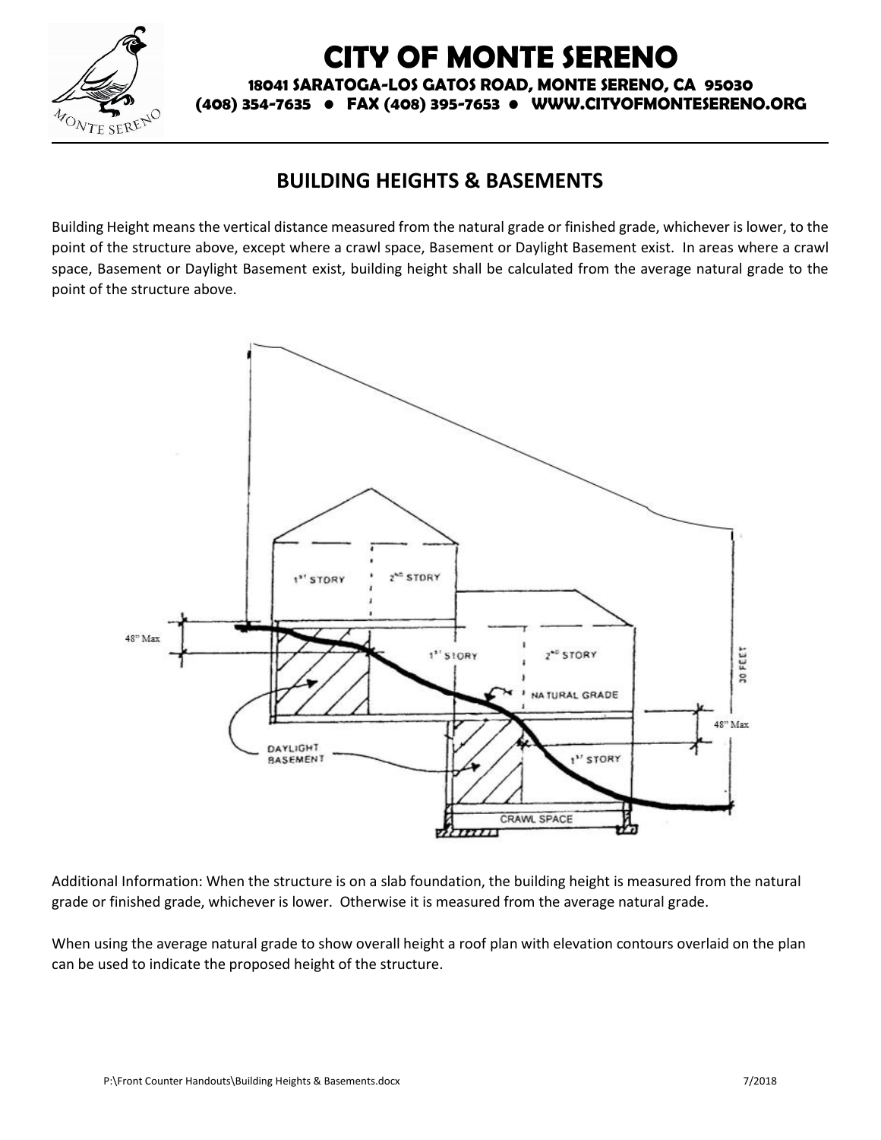

## **CITY OF MONTE SERENO**

**18041 SARATOGA-LOS GATOS ROAD, MONTE SERENO, CA 95030**

**(408) 354-7635 • FAX (408) 395-7653 • WWW.CITYOFMONTESERENO.ORG**

## **BUILDING HEIGHTS & BASEMENTS**

Building Height means the vertical distance measured from the natural grade or finished grade, whichever is lower, to the point of the structure above, except where a crawl space, Basement or Daylight Basement exist. In areas where a crawl space, Basement or Daylight Basement exist, building height shall be calculated from the average natural grade to the point of the structure above.



Additional Information: When the structure is on a slab foundation, the building height is measured from the natural grade or finished grade, whichever is lower. Otherwise it is measured from the average natural grade.

When using the average natural grade to show overall height a roof plan with elevation contours overlaid on the plan can be used to indicate the proposed height of the structure.